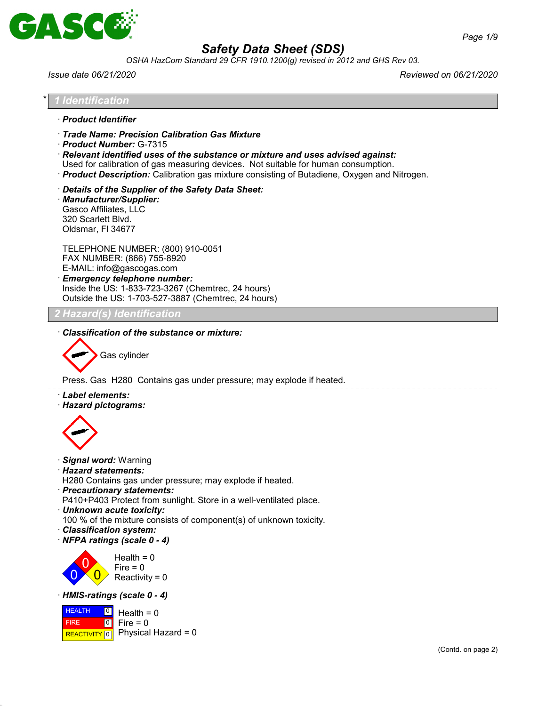

*OSHA HazCom Standard 29 CFR 1910.1200(g) revised in 2012 and GHS Rev 03.*

*Issue date 06/21/2020 Reviewed on 06/21/2020*

#### \* *1 Identification*

- · *Product Identifier*
- · *Trade Name: Precision Calibration Gas Mixture*
- · *Product Number:* G-7315

· *Relevant identified uses of the substance or mixture and uses advised against:*

Used for calibration of gas measuring devices. Not suitable for human consumption.

- · *Product Description:* Calibration gas mixture consisting of Butadiene, Oxygen and Nitrogen.
- · *Details of the Supplier of the Safety Data Sheet:*
- · *Manufacturer/Supplier:* Gasco Affiliates, LLC 320 Scarlett Blvd. Oldsmar, Fl 34677

TELEPHONE NUMBER: (800) 910-0051 FAX NUMBER: (866) 755-8920 E-MAIL: info@gascogas.com · *Emergency telephone number:*

Inside the US: 1-833-723-3267 (Chemtrec, 24 hours) Outside the US: 1-703-527-3887 (Chemtrec, 24 hours)

### *2 Hazard(s) Identification*

· *Classification of the substance or mixture:*



Press. Gas H280 Contains gas under pressure; may explode if heated.

- · *Label elements:*
- · *Hazard pictograms:*



- · *Signal word:* Warning
- · *Hazard statements:*

H280 Contains gas under pressure; may explode if heated.

· *Precautionary statements:*

P410+P403 Protect from sunlight. Store in a well-ventilated place.

· *Unknown acute toxicity:*

100 % of the mixture consists of component(s) of unknown toxicity.

- · *Classification system:*
- · *NFPA ratings (scale 0 4)*



#### · *HMIS-ratings (scale 0 - 4)*

**HEALTH**  FIRE  $R$ **REACTIVITY**  $\boxed{0}$  Physical Hazard = 0  $\boxed{0}$  $\boxed{0}$ Health  $= 0$  $Fire = 0$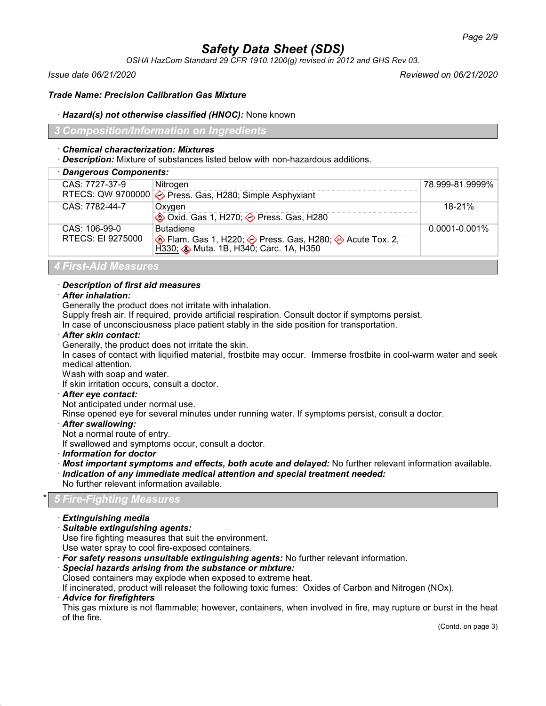*OSHA HazCom Standard 29 CFR 1910.1200(g) revised in 2012 and GHS Rev 03.*

*Issue date 06/21/2020 Reviewed on 06/21/2020*

### *Trade Name: Precision Calibration Gas Mixture*

### · *Hazard(s) not otherwise classified (HNOC):* None known

### *3 Composition/Information on Ingredients*

### · *Chemical characterization: Mixtures*

· *Description:* Mixture of substances listed below with non-hazardous additions.

| · Dangerous Components:  |                                                                  |                    |  |  |
|--------------------------|------------------------------------------------------------------|--------------------|--|--|
| CAS: 7727-37-9           | Nitrogen                                                         | 78.999-81.9999%    |  |  |
|                          | RTECS: QW 9700000 $\diamond$ Press. Gas, H280; Simple Asphyxiant |                    |  |  |
| CAS: 7782-44-7           | Oxygen                                                           | 18-21%             |  |  |
|                          | <b>♦ Oxid. Gas 1, H270; ♦ Press. Gas, H280</b>                   |                    |  |  |
| CAS: 106-99-0            | <b>Butadiene</b>                                                 | $0.0001 - 0.001\%$ |  |  |
| <b>RTECS: EI 9275000</b> |                                                                  |                    |  |  |
| 4 First-Aid Measures     |                                                                  |                    |  |  |

## · *Description of first aid measures*

### · *After inhalation:*

Generally the product does not irritate with inhalation.

Supply fresh air. If required, provide artificial respiration. Consult doctor if symptoms persist.

In case of unconsciousness place patient stably in the side position for transportation.

### · *After skin contact:*

Generally, the product does not irritate the skin.

In cases of contact with liquified material, frostbite may occur. Immerse frostbite in cool-warm water and seek medical attention.

Wash with soap and water.

If skin irritation occurs, consult a doctor.

### · *After eye contact:*

Not anticipated under normal use.

Rinse opened eye for several minutes under running water. If symptoms persist, consult a doctor.

· *After swallowing:*

Not a normal route of entry.

If swallowed and symptoms occur, consult a doctor.

· *Information for doctor*

- · *Most important symptoms and effects, both acute and delayed:* No further relevant information available.
- · *Indication of any immediate medical attention and special treatment needed:*
- No further relevant information available.

### \* *5 Fire-Fighting Measures*

- · *Extinguishing media*
- · *Suitable extinguishing agents:*

Use fire fighting measures that suit the environment.

Use water spray to cool fire-exposed containers.

· *For safety reasons unsuitable extinguishing agents:* No further relevant information.

### · *Special hazards arising from the substance or mixture:*

Closed containers may explode when exposed to extreme heat.

If incinerated, product will releaset the following toxic fumes: Oxides of Carbon and Nitrogen (NOx).

· *Advice for firefighters*

This gas mixture is not flammable; however, containers, when involved in fire, may rupture or burst in the heat of the fire.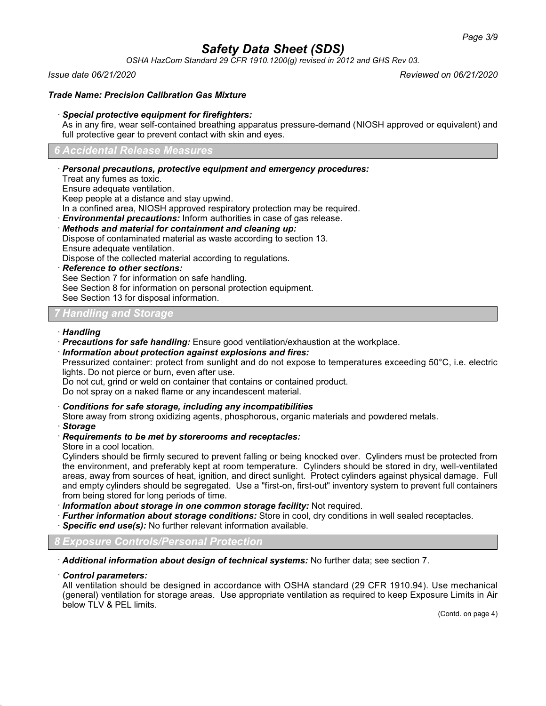*OSHA HazCom Standard 29 CFR 1910.1200(g) revised in 2012 and GHS Rev 03.*

*Issue date 06/21/2020 Reviewed on 06/21/2020*

### *Trade Name: Precision Calibration Gas Mixture*

### · *Special protective equipment for firefighters:*

As in any fire, wear self-contained breathing apparatus pressure-demand (NIOSH approved or equivalent) and full protective gear to prevent contact with skin and eyes.

#### *6 Accidental Release Measures*

### · *Personal precautions, protective equipment and emergency procedures:*

Treat any fumes as toxic.

Ensure adequate ventilation.

Keep people at a distance and stay upwind.

In a confined area, NIOSH approved respiratory protection may be required.

· *Environmental precautions:* Inform authorities in case of gas release.

· *Methods and material for containment and cleaning up:*

Dispose of contaminated material as waste according to section 13.

Ensure adequate ventilation.

Dispose of the collected material according to regulations.

· *Reference to other sections:*

See Section 7 for information on safe handling.

See Section 8 for information on personal protection equipment.

See Section 13 for disposal information.

### *7 Handling and Storage*

### · *Handling*

· *Precautions for safe handling:* Ensure good ventilation/exhaustion at the workplace.

· *Information about protection against explosions and fires:*

Pressurized container: protect from sunlight and do not expose to temperatures exceeding 50°C, i.e. electric lights. Do not pierce or burn, even after use.

Do not cut, grind or weld on container that contains or contained product.

Do not spray on a naked flame or any incandescent material.

· *Conditions for safe storage, including any incompatibilities*

Store away from strong oxidizing agents, phosphorous, organic materials and powdered metals.

· *Storage*

### · *Requirements to be met by storerooms and receptacles:*

Store in a cool location.

Cylinders should be firmly secured to prevent falling or being knocked over. Cylinders must be protected from the environment, and preferably kept at room temperature. Cylinders should be stored in dry, well-ventilated areas, away from sources of heat, ignition, and direct sunlight. Protect cylinders against physical damage. Full and empty cylinders should be segregated. Use a "first-on, first-out" inventory system to prevent full containers from being stored for long periods of time.

· *Information about storage in one common storage facility:* Not required.

- · *Further information about storage conditions:* Store in cool, dry conditions in well sealed receptacles.
- · *Specific end use(s):* No further relevant information available.

*8 Exposure Controls/Personal Protection*

· *Additional information about design of technical systems:* No further data; see section 7.

· *Control parameters:*

All ventilation should be designed in accordance with OSHA standard (29 CFR 1910.94). Use mechanical (general) ventilation for storage areas. Use appropriate ventilation as required to keep Exposure Limits in Air below TLV & PEL limits.

(Contd. on page 4)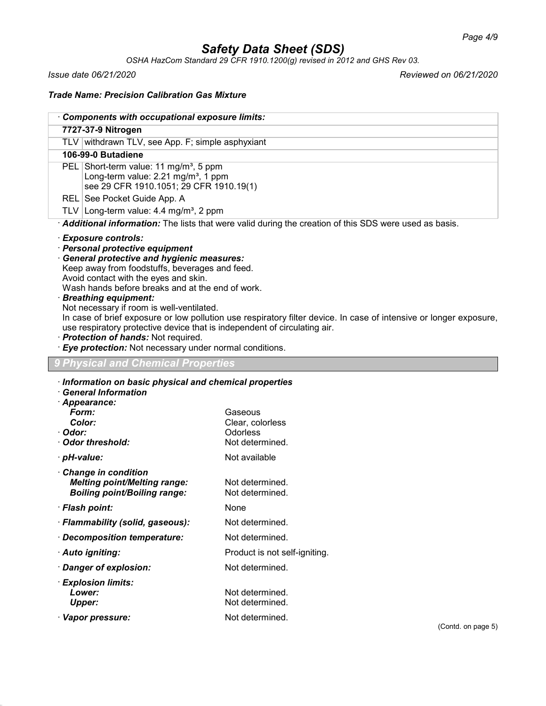*OSHA HazCom Standard 29 CFR 1910.1200(g) revised in 2012 and GHS Rev 03.*

*Issue date 06/21/2020 Reviewed on 06/21/2020*

### *Trade Name: Precision Calibration Gas Mixture*

**Lower:** Not determined. **Upper:** Not determined. · Vapor pressure: Not determined.

| 7727-37-9 Nitrogen                                                                                                                                                                                                                                                                                                                                                                                                                  |                                                                                                                                                  |  |  |
|-------------------------------------------------------------------------------------------------------------------------------------------------------------------------------------------------------------------------------------------------------------------------------------------------------------------------------------------------------------------------------------------------------------------------------------|--------------------------------------------------------------------------------------------------------------------------------------------------|--|--|
| TLV withdrawn TLV, see App. F; simple asphyxiant                                                                                                                                                                                                                                                                                                                                                                                    |                                                                                                                                                  |  |  |
| 106-99-0 Butadiene                                                                                                                                                                                                                                                                                                                                                                                                                  |                                                                                                                                                  |  |  |
|                                                                                                                                                                                                                                                                                                                                                                                                                                     | PEL Short-term value: 11 mg/m <sup>3</sup> , 5 ppm<br>Long-term value: 2.21 mg/m <sup>3</sup> , 1 ppm<br>see 29 CFR 1910.1051; 29 CFR 1910.19(1) |  |  |
| REL See Pocket Guide App. A                                                                                                                                                                                                                                                                                                                                                                                                         |                                                                                                                                                  |  |  |
|                                                                                                                                                                                                                                                                                                                                                                                                                                     | TLV Long-term value: $4.4 \text{ mg/m}^3$ , 2 ppm                                                                                                |  |  |
|                                                                                                                                                                                                                                                                                                                                                                                                                                     | · Additional information: The lists that were valid during the creation of this SDS were used as basis.                                          |  |  |
| Wash hands before breaks and at the end of work.<br><b>Breathing equipment:</b><br>Not necessary if room is well-ventilated.<br>In case of brief exposure or low pollution use respiratory filter device. In case of intensive or longer exposure,<br>use respiratory protective device that is independent of circulating air.<br>· Protection of hands: Not required.<br>· Eye protection: Not necessary under normal conditions. |                                                                                                                                                  |  |  |
| <b>Physical and Chemical Properties</b>                                                                                                                                                                                                                                                                                                                                                                                             |                                                                                                                                                  |  |  |
| Information on basic physical and chemical properties                                                                                                                                                                                                                                                                                                                                                                               |                                                                                                                                                  |  |  |
| <b>General Information</b><br>· Appearance:<br>Form:<br>Color:<br>· Odor:<br>Odor threshold:                                                                                                                                                                                                                                                                                                                                        | Gaseous<br>Clear, colorless<br>Odorless<br>Not determined.                                                                                       |  |  |
| · pH-value:                                                                                                                                                                                                                                                                                                                                                                                                                         | Not available                                                                                                                                    |  |  |
| Change in condition<br><b>Melting point/Melting range:</b><br><b>Boiling point/Boiling range:</b>                                                                                                                                                                                                                                                                                                                                   | Not determined.<br>Not determined.                                                                                                               |  |  |
| · Flash point:                                                                                                                                                                                                                                                                                                                                                                                                                      | None                                                                                                                                             |  |  |
| · Flammability (solid, gaseous):                                                                                                                                                                                                                                                                                                                                                                                                    | Not determined.                                                                                                                                  |  |  |
| · Decomposition temperature:                                                                                                                                                                                                                                                                                                                                                                                                        | Not determined.                                                                                                                                  |  |  |
| · Auto igniting:                                                                                                                                                                                                                                                                                                                                                                                                                    | Product is not self-igniting.                                                                                                                    |  |  |
| · Danger of explosion:                                                                                                                                                                                                                                                                                                                                                                                                              | Not determined.                                                                                                                                  |  |  |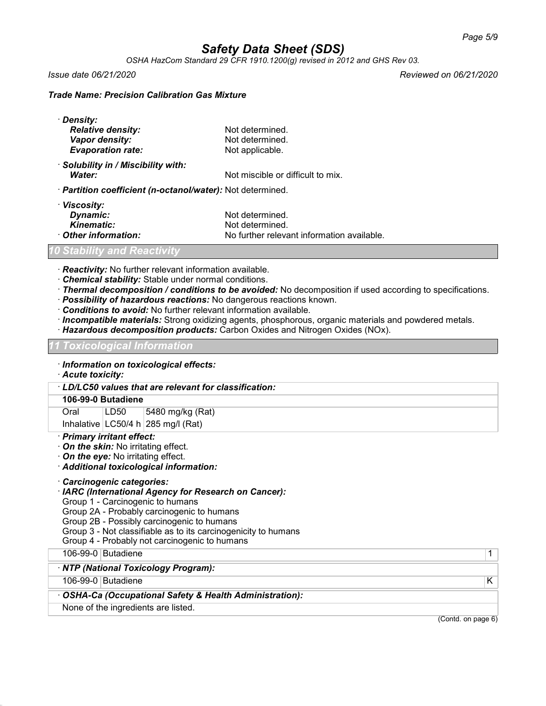*OSHA HazCom Standard 29 CFR 1910.1200(g) revised in 2012 and GHS Rev 03.*

*Issue date 06/21/2020 Reviewed on 06/21/2020*

### *Trade Name: Precision Calibration Gas Mixture*

| · Density:                                                 |                                   |
|------------------------------------------------------------|-----------------------------------|
| <b>Relative density:</b>                                   | Not determined.                   |
| Vapor density:                                             | Not determined.                   |
| <b>Evaporation rate:</b>                                   | Not applicable.                   |
| · Solubility in / Miscibility with:                        |                                   |
| Water:                                                     | Not miscible or difficult to mix. |
| · Partition coefficient (n-octanol/water): Not determined. |                                   |
| · Viscosity:                                               |                                   |
| <b>Dynamic:</b>                                            | Not determined.                   |

**Dynamic:** Not determined. **Kinematic:** Not determined.<br> **Other information:** No further relevant No further relevant information available.

### *10 Stability and Reactivity*

· *Reactivity:* No further relevant information available.

- · *Chemical stability:* Stable under normal conditions.
- · *Thermal decomposition / conditions to be avoided:* No decomposition if used according to specifications.
- · *Possibility of hazardous reactions:* No dangerous reactions known.
- · *Conditions to avoid:* No further relevant information available.
- · *Incompatible materials:* Strong oxidizing agents, phosphorous, organic materials and powdered metals.
- · *Hazardous decomposition products:* Carbon Oxides and Nitrogen Oxides (NOx).

#### *11 Toxicological Information*

- · *Information on toxicological effects:*
- · *Acute toxicity:*

· *LD/LC50 values that are relevant for classification:*

### **106-99-0 Butadiene**

Oral LD50 5480 mg/kg (Rat)

Inhalative  $|LG50/4 h|$  285 mg/l (Rat)

- · *Primary irritant effect:*
- · *On the skin:* No irritating effect.
- · *On the eye:* No irritating effect.
- · *Additional toxicological information:*
- · *Carcinogenic categories:*
- · *IARC (International Agency for Research on Cancer):*
- Group 1 Carcinogenic to humans
- Group 2A Probably carcinogenic to humans

Group 2B - Possibly carcinogenic to humans

- Group 3 Not classifiable as to its carcinogenicity to humans
- Group 4 Probably not carcinogenic to humans

106-99-0 Butadiene 1

· *NTP (National Toxicology Program):*

106-99-0 Butadiene K

#### · *OSHA-Ca (Occupational Safety & Health Administration):*

None of the ingredients are listed.

(Contd. on page 6)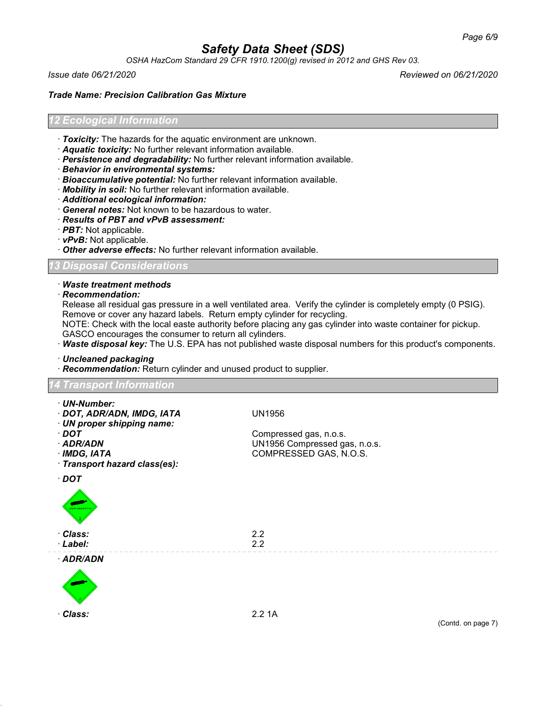*OSHA HazCom Standard 29 CFR 1910.1200(g) revised in 2012 and GHS Rev 03.*

*Issue date 06/21/2020 Reviewed on 06/21/2020*

### *Trade Name: Precision Calibration Gas Mixture*

#### *12 Ecological Information*

- · *Toxicity:* The hazards for the aquatic environment are unknown.
- · *Aquatic toxicity:* No further relevant information available.
- · *Persistence and degradability:* No further relevant information available.
- · *Behavior in environmental systems:*
- · *Bioaccumulative potential:* No further relevant information available.
- · *Mobility in soil:* No further relevant information available.
- · *Additional ecological information:*
- · *General notes:* Not known to be hazardous to water.
- · *Results of PBT and vPvB assessment:*
- · *PBT:* Not applicable.
- · *vPvB:* Not applicable.
- · *Other adverse effects:* No further relevant information available.

*13 Disposal Considerations*

#### · *Waste treatment methods*

· *Recommendation:*

Release all residual gas pressure in a well ventilated area. Verify the cylinder is completely empty (0 PSIG). Remove or cover any hazard labels. Return empty cylinder for recycling.

NOTE: Check with the local easte authority before placing any gas cylinder into waste container for pickup. GASCO encourages the consumer to return all cylinders.

· *Waste disposal key:* The U.S. EPA has not published waste disposal numbers for this product's components.

· *Uncleaned packaging*

· *Recommendation:* Return cylinder and unused product to supplier.

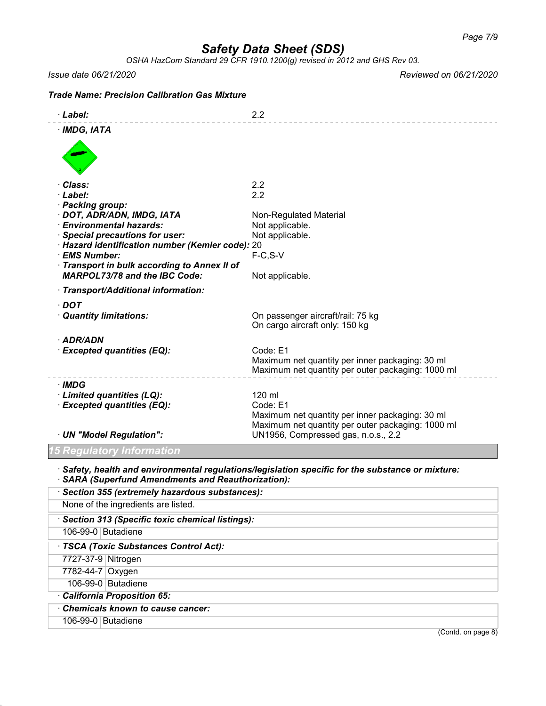*OSHA HazCom Standard 29 CFR 1910.1200(g) revised in 2012 and GHS Rev 03.*

*Issue date 06/21/2020 Reviewed on 06/21/2020*

## *Trade Name: Precision Calibration Gas Mixture* · *Label:* 2.2 · *IMDG, IATA* · *Class:* 2.2 · *Label:* 2.2 · *Packing group:* · **DOT, ADR/ADN, IMDG, IATA** Non-Regulated Material · *Environmental hazards:* Not applicable. **Special precautions for user:** Not applicable. · *Hazard identification number (Kemler code):* 20 · **EMS Number:** · *Transport in bulk according to Annex II of MARPOL73/78 and the IBC Code:* Not applicable. · *Transport/Additional information:* · *DOT* · *Quantity limitations:* On passenger aircraft/rail: 75 kg On cargo aircraft only: 150 kg · *ADR/ADN* · *Excepted quantities (EQ):* Code: E1 Maximum net quantity per inner packaging: 30 ml Maximum net quantity per outer packaging: 1000 ml · *IMDG* · *Limited quantities (LQ):* 120 ml · **Excepted quantities (EQ):** Code: E1 Maximum net quantity per inner packaging: 30 ml Maximum net quantity per outer packaging: 1000 ml · *UN "Model Regulation":* UN1956, Compressed gas, n.o.s., 2.2 *15 Regulatory Information* · *Safety, health and environmental regulations/legislation specific for the substance or mixture:* · *SARA (Superfund Amendments and Reauthorization):* · *Section 355 (extremely hazardous substances):* None of the ingredients are listed. · *Section 313 (Specific toxic chemical listings):* 106-99-0 Butadiene · *TSCA (Toxic Substances Control Act):* 7727-37-9 Nitrogen 7782-44-7 Oxygen 106-99-0 Butadiene

- · *California Proposition 65:*
- · *Chemicals known to cause cancer:*
- 106-99-0 Butadiene

(Contd. on page 8)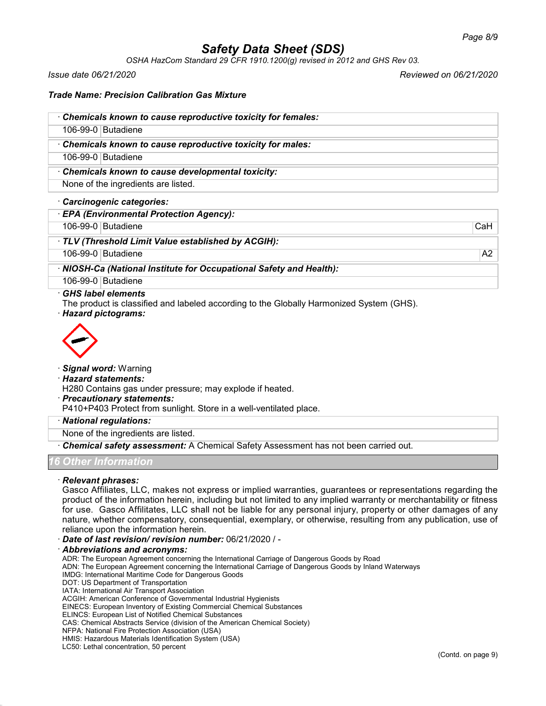*OSHA HazCom Standard 29 CFR 1910.1200(g) revised in 2012 and GHS Rev 03.*

*Issue date 06/21/2020 Reviewed on 06/21/2020*

### *Trade Name: Precision Calibration Gas Mixture*

| Chemicals known to cause reproductive toxicity for females:                                                                                    |     |
|------------------------------------------------------------------------------------------------------------------------------------------------|-----|
| 106-99-0 Butadiene                                                                                                                             |     |
| Chemicals known to cause reproductive toxicity for males:                                                                                      |     |
| 106-99-0 Butadiene                                                                                                                             |     |
| Chemicals known to cause developmental toxicity:                                                                                               |     |
| None of the ingredients are listed.                                                                                                            |     |
| Carcinogenic categories:                                                                                                                       |     |
| <b>EPA (Environmental Protection Agency):</b>                                                                                                  |     |
| 106-99-0 Butadiene                                                                                                                             | CaH |
| · TLV (Threshold Limit Value established by ACGIH):                                                                                            |     |
| 106-99-0 Butadiene                                                                                                                             | A2  |
| · NIOSH-Ca (National Institute for Occupational Safety and Health):                                                                            |     |
| 106-99-0 Butadiene                                                                                                                             |     |
| $\cdot$ GHS label elements<br>The product is classified and labeled according to the Globally Harmonized System (GHS).<br>· Hazard pictograms: |     |
| ↗                                                                                                                                              |     |



## · *Signal word:* Warning

· *Hazard statements:*

H280 Contains gas under pressure; may explode if heated.

#### · *Precautionary statements:*

P410+P403 Protect from sunlight. Store in a well-ventilated place.

#### · *National regulations:*

None of the ingredients are listed.

· *Chemical safety assessment:* A Chemical Safety Assessment has not been carried out.

### *16 Other Information*

### · *Relevant phrases:*

Gasco Affiliates, LLC, makes not express or implied warranties, guarantees or representations regarding the product of the information herein, including but not limited to any implied warranty or merchantability or fitness for use. Gasco Affilitates, LLC shall not be liable for any personal injury, property or other damages of any nature, whether compensatory, consequential, exemplary, or otherwise, resulting from any publication, use of reliance upon the information herein.

· *Date of last revision/ revision number:* 06/21/2020 / -

· *Abbreviations and acronyms:*

ADR: The European Agreement concerning the International Carriage of Dangerous Goods by Road

ADN: The European Agreement concerning the International Carriage of Dangerous Goods by Inland Waterways

- IMDG: International Maritime Code for Dangerous Goods
- DOT: US Department of Transportation
- IATA: International Air Transport Association
- ACGIH: American Conference of Governmental Industrial Hygienists
- EINECS: European Inventory of Existing Commercial Chemical Substances
- ELINCS: European List of Notified Chemical Substances

CAS: Chemical Abstracts Service (division of the American Chemical Society)

- NFPA: National Fire Protection Association (USA)
- HMIS: Hazardous Materials Identification System (USA)

LC50: Lethal concentration, 50 percent